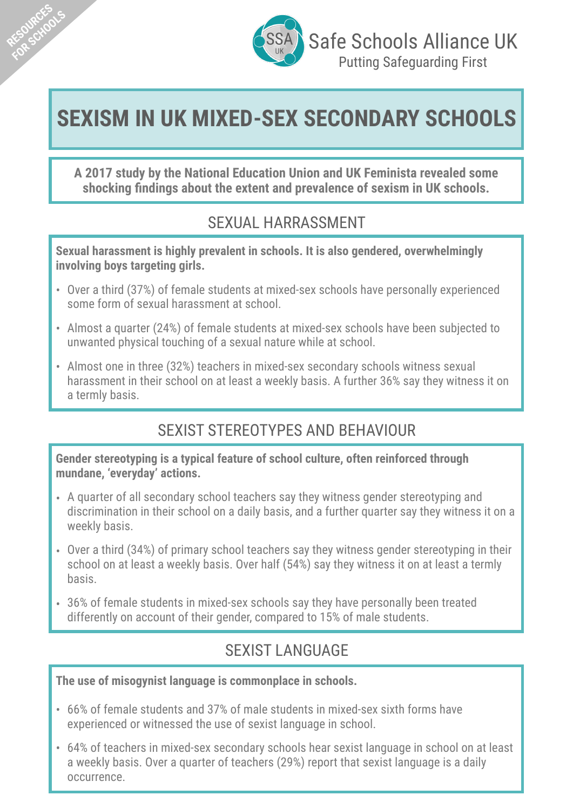

**RESOURCES FSQUACTLOOLS** 

# **SEXISM IN UK MIXED-SEX SECONDARY SCHOOLS**

**A 2017 study by the National Education Union and UK Feminista revealed some shocking findings about the extent and prevalence of sexism in UK schools.**

## SEXUAL HARRASSMENT

**Sexual harassment is highly prevalent in schools. It is also gendered, overwhelmingly involving boys targeting girls.**

- Over a third (37%) of female students at mixed-sex schools have personally experienced some form of sexual harassment at school.
- Almost a quarter (24%) of female students at mixed-sex schools have been subjected to unwanted physical touching of a sexual nature while at school.
- Almost one in three (32%) teachers in mixed-sex secondary schools witness sexual harassment in their school on at least a weekly basis. A further 36% say they witness it on a termly basis.

# SEXIST STEREOTYPES AND BEHAVIOUR

**Gender stereotyping is a typical feature of school culture, often reinforced through mundane, 'everyday' actions.** 

- A quarter of all secondary school teachers say they witness gender stereotyping and discrimination in their school on a daily basis, and a further quarter say they witness it on a weekly basis.
- Over a third (34%) of primary school teachers say they witness gender stereotyping in their school on at least a weekly basis. Over half (54%) say they witness it on at least a termly basis.
- 36% of female students in mixed-sex schools say they have personally been treated differently on account of their gender, compared to 15% of male students.

# SEXIST LANGUAGE

**The use of misogynist language is commonplace in schools.** 

- 66% of female students and 37% of male students in mixed-sex sixth forms have experienced or witnessed the use of sexist language in school.
- 64% of teachers in mixed-sex secondary schools hear sexist language in school on at least a weekly basis. Over a quarter of teachers (29%) report that sexist language is a daily occurrence.